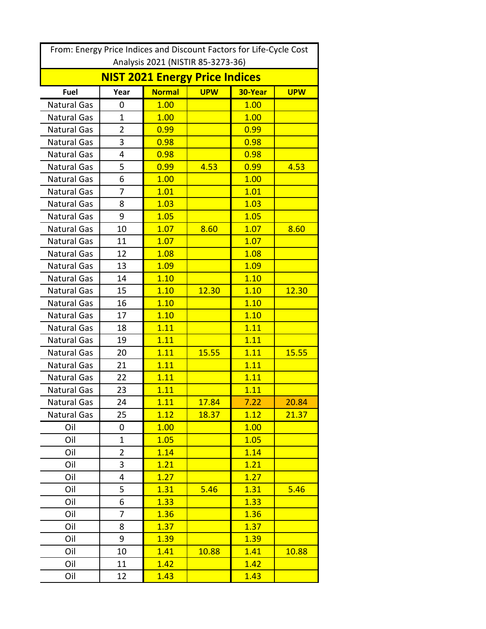| From: Energy Price Indices and Discount Factors for Life-Cycle Cost |                |               |            |         |            |  |
|---------------------------------------------------------------------|----------------|---------------|------------|---------|------------|--|
| Analysis 2021 (NISTIR 85-3273-36)                                   |                |               |            |         |            |  |
| <b>NIST 2021 Energy Price Indices</b>                               |                |               |            |         |            |  |
| Fuel                                                                | Year           | <b>Normal</b> | <b>UPW</b> | 30-Year | <b>UPW</b> |  |
| <b>Natural Gas</b>                                                  | 0              | 1.00          |            | 1.00    |            |  |
| <b>Natural Gas</b>                                                  | $\mathbf{1}$   | 1.00          |            | 1.00    |            |  |
| <b>Natural Gas</b>                                                  | $\overline{2}$ | 0.99          |            | 0.99    |            |  |
| <b>Natural Gas</b>                                                  | 3              | 0.98          |            | 0.98    |            |  |
| <b>Natural Gas</b>                                                  | 4              | 0.98          |            | 0.98    |            |  |
| <b>Natural Gas</b>                                                  | 5              | 0.99          | 4.53       | 0.99    | 4.53       |  |
| <b>Natural Gas</b>                                                  | 6              | 1.00          |            | 1.00    |            |  |
| <b>Natural Gas</b>                                                  | 7              | 1.01          |            | 1.01    |            |  |
| <b>Natural Gas</b>                                                  | 8              | 1.03          |            | 1.03    |            |  |
| <b>Natural Gas</b>                                                  | 9              | 1.05          |            | 1.05    |            |  |
| <b>Natural Gas</b>                                                  | 10             | 1.07          | 8.60       | 1.07    | 8.60       |  |
| <b>Natural Gas</b>                                                  | 11             | 1.07          |            | 1.07    |            |  |
| <b>Natural Gas</b>                                                  | 12             | 1.08          |            | 1.08    |            |  |
| <b>Natural Gas</b>                                                  | 13             | 1.09          |            | 1.09    |            |  |
| <b>Natural Gas</b>                                                  | 14             | 1.10          |            | 1.10    |            |  |
| <b>Natural Gas</b>                                                  | 15             | 1.10          | 12.30      | 1.10    | 12.30      |  |
| <b>Natural Gas</b>                                                  | 16             | 1.10          |            | 1.10    |            |  |
| <b>Natural Gas</b>                                                  | 17             | 1.10          |            | 1.10    |            |  |
| <b>Natural Gas</b>                                                  | 18             | 1.11          |            | 1.11    |            |  |
| <b>Natural Gas</b>                                                  | 19             | 1.11          |            | 1.11    |            |  |
| <b>Natural Gas</b>                                                  | 20             | 1.11          | 15.55      | 1.11    | 15.55      |  |
| <b>Natural Gas</b>                                                  | 21             | 1.11          |            | 1.11    |            |  |
| <b>Natural Gas</b>                                                  | 22             | 1.11          |            | 1.11    |            |  |
| Natural Gas                                                         | 23             | 1.11          |            | 1.11    |            |  |
| Natural Gas                                                         | 24             | 1.11          | 17.84      | 7.22    | 20.84      |  |
| <b>Natural Gas</b>                                                  | 25             | 1.12          | 18.37      | 1.12    | 21.37      |  |
| Oil                                                                 | 0              | 1.00          |            | 1.00    |            |  |
| Oil                                                                 | $\mathbf 1$    | 1.05          |            | 1.05    |            |  |
| Oil                                                                 | $\overline{2}$ | 1.14          |            | 1.14    |            |  |
| Oil                                                                 | 3              | 1.21          |            | 1.21    |            |  |
| Oil                                                                 | 4              | 1.27          |            | 1.27    |            |  |
| Oil                                                                 | 5              | 1.31          | 5.46       | 1.31    | 5.46       |  |
| Oil                                                                 | 6              | 1.33          |            | 1.33    |            |  |
| Oil                                                                 | 7              | 1.36          |            | 1.36    |            |  |
| Oil                                                                 | 8              | 1.37          |            | 1.37    |            |  |
| Oil                                                                 | 9              | 1.39          |            | 1.39    |            |  |
| Oil                                                                 | 10             | 1.41          | 10.88      | 1.41    | 10.88      |  |
| Oil                                                                 | 11             | 1.42          |            | 1.42    |            |  |
| Oil                                                                 | 12             | 1.43          |            | 1.43    |            |  |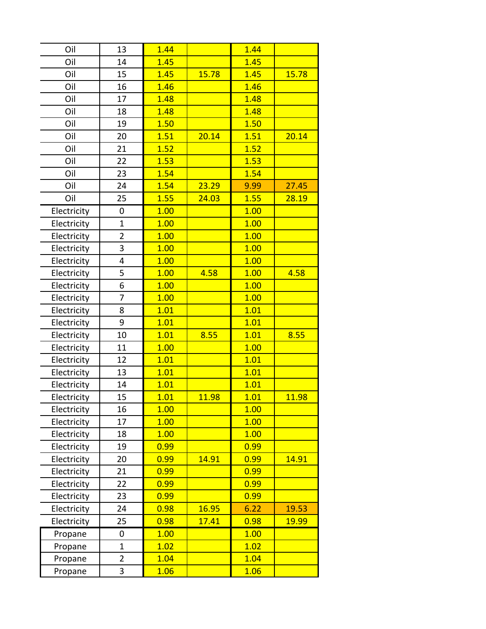| Oil         | 13             | 1.44 |       | 1.44 |       |
|-------------|----------------|------|-------|------|-------|
| Oil         | 14             | 1.45 |       | 1.45 |       |
| Oil         | 15             | 1.45 | 15.78 | 1.45 | 15.78 |
| Oil         | 16             | 1.46 |       | 1.46 |       |
| Oil         | 17             | 1.48 |       | 1.48 |       |
| Oil         | 18             | 1.48 |       | 1.48 |       |
| Oil         | 19             | 1.50 |       | 1.50 |       |
| Oil         | 20             | 1.51 | 20.14 | 1.51 | 20.14 |
| Oil         | 21             | 1.52 |       | 1.52 |       |
| Oil         | 22             | 1.53 |       | 1.53 |       |
| Oil         | 23             | 1.54 |       | 1.54 |       |
| Oil         | 24             | 1.54 | 23.29 | 9.99 | 27.45 |
| Oil         | 25             | 1.55 | 24.03 | 1.55 | 28.19 |
| Electricity | 0              | 1.00 |       | 1.00 |       |
| Electricity | $\overline{1}$ | 1.00 |       | 1.00 |       |
| Electricity | $\overline{2}$ | 1.00 |       | 1.00 |       |
| Electricity | 3              | 1.00 |       | 1.00 |       |
| Electricity | 4              | 1.00 |       | 1.00 |       |
| Electricity | 5              | 1.00 | 4.58  | 1.00 | 4.58  |
| Electricity | 6              | 1.00 |       | 1.00 |       |
| Electricity | 7              | 1.00 |       | 1.00 |       |
| Electricity | 8              | 1.01 |       | 1.01 |       |
| Electricity | 9              | 1.01 |       | 1.01 |       |
| Electricity | 10             | 1.01 | 8.55  | 1.01 | 8.55  |
| Electricity | 11             | 1.00 |       | 1.00 |       |
| Electricity | 12             | 1.01 |       | 1.01 |       |
| Electricity | 13             | 1.01 |       | 1.01 |       |
| Electricity | 14             | 1.01 |       | 1.01 |       |
| Electricity | 15             | 1.01 | 11.98 | 1.01 | 11.98 |
| Electricity | 16             | 1.00 |       | 1.00 |       |
| Electricity | 17             | 1.00 |       | 1.00 |       |
| Electricity | 18             | 1.00 |       | 1.00 |       |
| Electricity | 19             | 0.99 |       | 0.99 |       |
| Electricity | 20             | 0.99 | 14.91 | 0.99 | 14.91 |
| Electricity | 21             | 0.99 |       | 0.99 |       |
| Electricity | 22             | 0.99 |       | 0.99 |       |
| Electricity | 23             | 0.99 |       | 0.99 |       |
| Electricity | 24             | 0.98 | 16.95 | 6.22 | 19.53 |
| Electricity | 25             | 0.98 | 17.41 | 0.98 | 19.99 |
| Propane     | 0              | 1.00 |       | 1.00 |       |
| Propane     | $\overline{1}$ | 1.02 |       | 1.02 |       |
| Propane     | 2              | 1.04 |       | 1.04 |       |
| Propane     | 3              | 1.06 |       | 1.06 |       |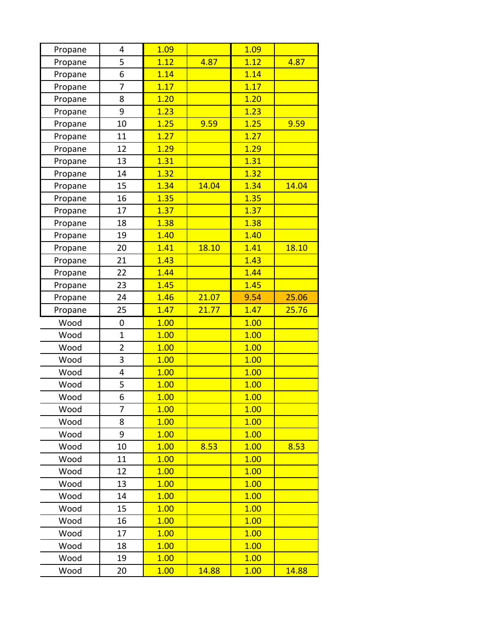| Propane | 4              | 1.09 |       | 1.09 |       |
|---------|----------------|------|-------|------|-------|
| Propane | 5              | 1.12 | 4.87  | 1.12 | 4.87  |
| Propane | 6              | 1.14 |       | 1.14 |       |
| Propane | 7              | 1.17 |       | 1.17 |       |
| Propane | 8              | 1.20 |       | 1.20 |       |
| Propane | 9              | 1.23 |       | 1.23 |       |
| Propane | 10             | 1.25 | 9.59  | 1.25 | 9.59  |
| Propane | 11             | 1.27 |       | 1.27 |       |
| Propane | 12             | 1.29 |       | 1.29 |       |
| Propane | 13             | 1.31 |       | 1.31 |       |
| Propane | 14             | 1.32 |       | 1.32 |       |
| Propane | 15             | 1.34 | 14.04 | 1.34 | 14.04 |
| Propane | 16             | 1.35 |       | 1.35 |       |
| Propane | 17             | 1.37 |       | 1.37 |       |
| Propane | 18             | 1.38 |       | 1.38 |       |
| Propane | 19             | 1.40 |       | 1.40 |       |
| Propane | 20             | 1.41 | 18.10 | 1.41 | 18.10 |
| Propane | 21             | 1.43 |       | 1.43 |       |
| Propane | 22             | 1.44 |       | 1.44 |       |
| Propane | 23             | 1.45 |       | 1.45 |       |
| Propane | 24             | 1.46 | 21.07 | 9.54 | 25.06 |
| Propane | 25             | 1.47 | 21.77 | 1.47 | 25.76 |
| Wood    | 0              | 1.00 |       | 1.00 |       |
| Wood    | 1              | 1.00 |       | 1.00 |       |
| Wood    | $\overline{2}$ | 1.00 |       | 1.00 |       |
| Wood    | 3              | 1.00 |       | 1.00 |       |
| Wood    | 4              | 1.00 |       | 1.00 |       |
| Wood    | 5              | 1.00 |       | 1.00 |       |
| Wood    | 6              | 1.00 |       | 1.00 |       |
| Wood    | 7              | 1.00 |       | 1.00 |       |
| Wood    | 8              | 1.00 |       | 1.00 |       |
| Wood    | 9              | 1.00 |       | 1.00 |       |
| Wood    | 10             | 1.00 | 8.53  | 1.00 | 8.53  |
| Wood    | 11             | 1.00 |       | 1.00 |       |
| Wood    | 12             | 1.00 |       | 1.00 |       |
| Wood    | 13             | 1.00 |       | 1.00 |       |
| Wood    | 14             | 1.00 |       | 1.00 |       |
| Wood    | 15             | 1.00 |       | 1.00 |       |
| Wood    | 16             | 1.00 |       | 1.00 |       |
| Wood    | 17             | 1.00 |       | 1.00 |       |
| Wood    | 18             | 1.00 |       | 1.00 |       |
| Wood    | 19             | 1.00 |       | 1.00 |       |
| Wood    | 20             | 1.00 | 14.88 | 1.00 | 14.88 |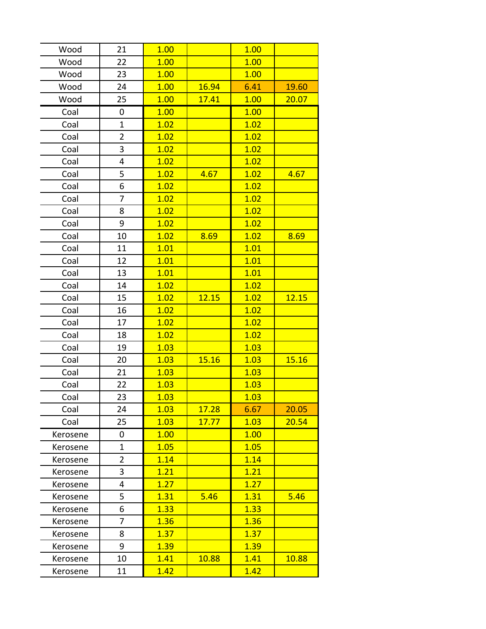| Wood     | 21             | 1.00 |       | 1.00 |       |
|----------|----------------|------|-------|------|-------|
| Wood     | 22             | 1.00 |       | 1.00 |       |
| Wood     | 23             | 1.00 |       | 1.00 |       |
| Wood     | 24             | 1.00 | 16.94 | 6.41 | 19.60 |
| Wood     | 25             | 1.00 | 17.41 | 1.00 | 20.07 |
| Coal     | 0              | 1.00 |       | 1.00 |       |
| Coal     | 1              | 1.02 |       | 1.02 |       |
| Coal     | $\overline{2}$ | 1.02 |       | 1.02 |       |
| Coal     | 3              | 1.02 |       | 1.02 |       |
| Coal     | 4              | 1.02 |       | 1.02 |       |
| Coal     | 5              | 1.02 | 4.67  | 1.02 | 4.67  |
| Coal     | 6              | 1.02 |       | 1.02 |       |
| Coal     | 7              | 1.02 |       | 1.02 |       |
| Coal     | 8              | 1.02 |       | 1.02 |       |
| Coal     | 9              | 1.02 |       | 1.02 |       |
| Coal     | 10             | 1.02 | 8.69  | 1.02 | 8.69  |
| Coal     | 11             | 1.01 |       | 1.01 |       |
| Coal     | 12             | 1.01 |       | 1.01 |       |
| Coal     | 13             | 1.01 |       | 1.01 |       |
| Coal     | 14             | 1.02 |       | 1.02 |       |
| Coal     | 15             | 1.02 | 12.15 | 1.02 | 12.15 |
| Coal     | 16             | 1.02 |       | 1.02 |       |
| Coal     | 17             | 1.02 |       | 1.02 |       |
| Coal     | 18             | 1.02 |       | 1.02 |       |
| Coal     | 19             | 1.03 |       | 1.03 |       |
| Coal     | 20             | 1.03 | 15.16 | 1.03 | 15.16 |
| Coal     | 21             | 1.03 |       | 1.03 |       |
| Coal     | 22             | 1.03 |       | 1.03 |       |
| Coal     | 23             | 1.03 |       | 1.03 |       |
| Coal     | 24             | 1.03 | 17.28 | 6.67 | 20.05 |
| Coal     | 25             | 1.03 | 17.77 | 1.03 | 20.54 |
| Kerosene | 0              | 1.00 |       | 1.00 |       |
| Kerosene | 1              | 1.05 |       | 1.05 |       |
| Kerosene | $\overline{2}$ | 1.14 |       | 1.14 |       |
| Kerosene | 3              | 1.21 |       | 1.21 |       |
| Kerosene | 4              | 1.27 |       | 1.27 |       |
| Kerosene | 5              | 1.31 | 5.46  | 1.31 | 5.46  |
| Kerosene | 6              | 1.33 |       | 1.33 |       |
| Kerosene | 7              | 1.36 |       | 1.36 |       |
| Kerosene | 8              | 1.37 |       | 1.37 |       |
| Kerosene | 9              | 1.39 |       | 1.39 |       |
| Kerosene | 10             | 1.41 | 10.88 | 1.41 | 10.88 |
| Kerosene | 11             | 1.42 |       | 1.42 |       |